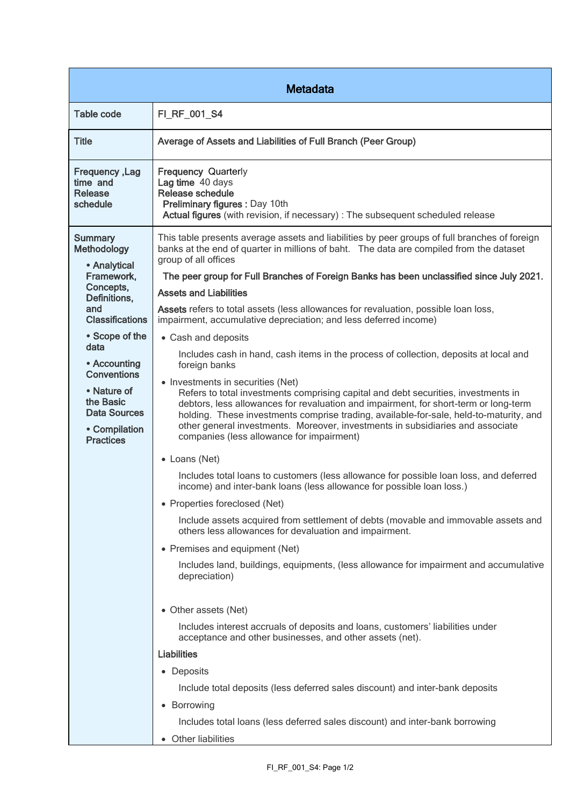| <b>Metadata</b>                                                                                                                                                                                                                                                                   |                                                                                                                                                                                                                                                                                                                                                                                                                                                                                                                                                                                                                                                                                                                                                                                                                                                                                                                                                                                                                                                                                                                                                                                                                                                                                                                                                                                                                                                                                                                                                                                                                                                                                                                                                                                                                                                                                                                  |  |
|-----------------------------------------------------------------------------------------------------------------------------------------------------------------------------------------------------------------------------------------------------------------------------------|------------------------------------------------------------------------------------------------------------------------------------------------------------------------------------------------------------------------------------------------------------------------------------------------------------------------------------------------------------------------------------------------------------------------------------------------------------------------------------------------------------------------------------------------------------------------------------------------------------------------------------------------------------------------------------------------------------------------------------------------------------------------------------------------------------------------------------------------------------------------------------------------------------------------------------------------------------------------------------------------------------------------------------------------------------------------------------------------------------------------------------------------------------------------------------------------------------------------------------------------------------------------------------------------------------------------------------------------------------------------------------------------------------------------------------------------------------------------------------------------------------------------------------------------------------------------------------------------------------------------------------------------------------------------------------------------------------------------------------------------------------------------------------------------------------------------------------------------------------------------------------------------------------------|--|
| <b>Table code</b>                                                                                                                                                                                                                                                                 | FI_RF_001_S4                                                                                                                                                                                                                                                                                                                                                                                                                                                                                                                                                                                                                                                                                                                                                                                                                                                                                                                                                                                                                                                                                                                                                                                                                                                                                                                                                                                                                                                                                                                                                                                                                                                                                                                                                                                                                                                                                                     |  |
| <b>Title</b>                                                                                                                                                                                                                                                                      | Average of Assets and Liabilities of Full Branch (Peer Group)                                                                                                                                                                                                                                                                                                                                                                                                                                                                                                                                                                                                                                                                                                                                                                                                                                                                                                                                                                                                                                                                                                                                                                                                                                                                                                                                                                                                                                                                                                                                                                                                                                                                                                                                                                                                                                                    |  |
| Frequency, Lag<br>time and<br><b>Release</b><br>schedule                                                                                                                                                                                                                          | <b>Frequency Quarterly</b><br>Lag time 40 days<br>Release schedule<br>Preliminary figures : Day 10th<br>Actual figures (with revision, if necessary) : The subsequent scheduled release                                                                                                                                                                                                                                                                                                                                                                                                                                                                                                                                                                                                                                                                                                                                                                                                                                                                                                                                                                                                                                                                                                                                                                                                                                                                                                                                                                                                                                                                                                                                                                                                                                                                                                                          |  |
| <b>Summary</b><br>Methodology<br>• Analytical<br>Framework,<br>Concepts,<br>Definitions,<br>and<br><b>Classifications</b><br>• Scope of the<br>data<br>• Accounting<br><b>Conventions</b><br>• Nature of<br>the Basic<br><b>Data Sources</b><br>• Compilation<br><b>Practices</b> | This table presents average assets and liabilities by peer groups of full branches of foreign<br>banks at the end of quarter in millions of baht. The data are compiled from the dataset<br>group of all offices<br>The peer group for Full Branches of Foreign Banks has been unclassified since July 2021.<br><b>Assets and Liabilities</b><br>Assets refers to total assets (less allowances for revaluation, possible loan loss,<br>impairment, accumulative depreciation; and less deferred income)<br>• Cash and deposits<br>Includes cash in hand, cash items in the process of collection, deposits at local and<br>foreign banks<br>• Investments in securities (Net)<br>Refers to total investments comprising capital and debt securities, investments in<br>debtors, less allowances for revaluation and impairment, for short-term or long-term<br>holding. These investments comprise trading, available-for-sale, held-to-maturity, and<br>other general investments. Moreover, investments in subsidiaries and associate<br>companies (less allowance for impairment)<br>• Loans (Net)<br>Includes total loans to customers (less allowance for possible loan loss, and deferred<br>income) and inter-bank loans (less allowance for possible loan loss.)<br>• Properties foreclosed (Net)<br>Include assets acquired from settlement of debts (movable and immovable assets and<br>others less allowances for devaluation and impairment.<br>• Premises and equipment (Net)<br>Includes land, buildings, equipments, (less allowance for impairment and accumulative<br>depreciation)<br>• Other assets (Net)<br>Includes interest accruals of deposits and loans, customers' liabilities under<br>acceptance and other businesses, and other assets (net).<br><b>Liabilities</b><br>• Deposits<br>Include total deposits (less deferred sales discount) and inter-bank deposits<br>• Borrowing |  |
|                                                                                                                                                                                                                                                                                   | Includes total loans (less deferred sales discount) and inter-bank borrowing<br>Other liabilities<br>$\bullet$                                                                                                                                                                                                                                                                                                                                                                                                                                                                                                                                                                                                                                                                                                                                                                                                                                                                                                                                                                                                                                                                                                                                                                                                                                                                                                                                                                                                                                                                                                                                                                                                                                                                                                                                                                                                   |  |